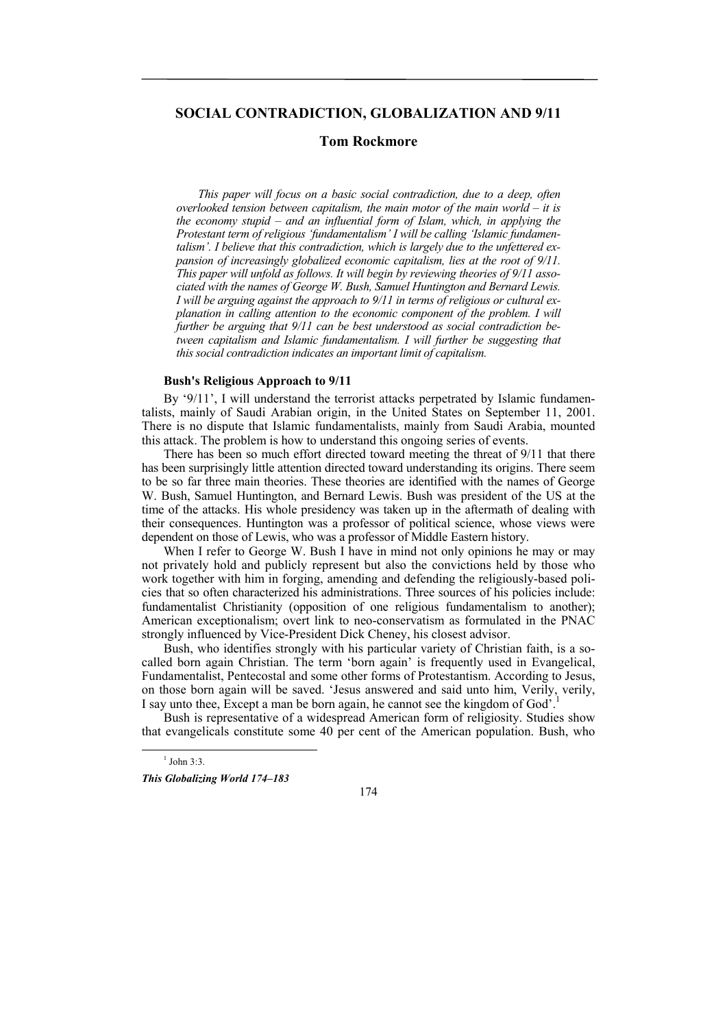# **SOCIAL CONTRADICTION, GLOBALIZATION AND 9/11**

# **Tom Rockmore**

*This paper will focus on a basic social contradiction, due to a deep, often overlooked tension between capitalism, the main motor of the main world – it is the economy stupid – and an influential form of Islam, which, in applying the Protestant term of religious 'fundamentalism' I will be calling 'Islamic fundamentalism'. I believe that this contradiction, which is largely due to the unfettered expansion of increasingly globalized economic capitalism, lies at the root of 9/11. This paper will unfold as follows. It will begin by reviewing theories of 9/11 associated with the names of George W. Bush, Samuel Huntington and Bernard Lewis. I will be arguing against the approach to 9/11 in terms of religious or cultural explanation in calling attention to the economic component of the problem. I will further be arguing that 9/11 can be best understood as social contradiction between capitalism and Islamic fundamentalism. I will further be suggesting that this social contradiction indicates an important limit of capitalism.* 

## **Bush's Religious Approach to 9/11**

By '9/11', I will understand the terrorist attacks perpetrated by Islamic fundamentalists, mainly of Saudi Arabian origin, in the United States on September 11, 2001. There is no dispute that Islamic fundamentalists, mainly from Saudi Arabia, mounted this attack. The problem is how to understand this ongoing series of events.

There has been so much effort directed toward meeting the threat of 9/11 that there has been surprisingly little attention directed toward understanding its origins. There seem to be so far three main theories. These theories are identified with the names of George W. Bush, Samuel Huntington, and Bernard Lewis. Bush was president of the US at the time of the attacks. His whole presidency was taken up in the aftermath of dealing with their consequences. Huntington was a professor of political science, whose views were dependent on those of Lewis, who was a professor of Middle Eastern history.

When I refer to George W. Bush I have in mind not only opinions he may or may not privately hold and publicly represent but also the convictions held by those who work together with him in forging, amending and defending the religiously-based policies that so often characterized his administrations. Three sources of his policies include: fundamentalist Christianity (opposition of one religious fundamentalism to another); American exceptionalism; overt link to neo-conservatism as formulated in the PNAC strongly influenced by Vice-President Dick Cheney, his closest advisor.

Bush, who identifies strongly with his particular variety of Christian faith, is a socalled born again Christian. The term 'born again' is frequently used in Evangelical, Fundamentalist, Pentecostal and some other forms of Protestantism. According to Jesus, on those born again will be saved. 'Jesus answered and said unto him, Verily, verily, I say unto thee, Except a man be born again, he cannot see the kingdom of God'.1

Bush is representative of a widespread American form of religiosity. Studies show that evangelicals constitute some 40 per cent of the American population. Bush, who

 $\overline{\phantom{a}}$  $1$  John 3:3.

*This Globalizing World 174–183* 

174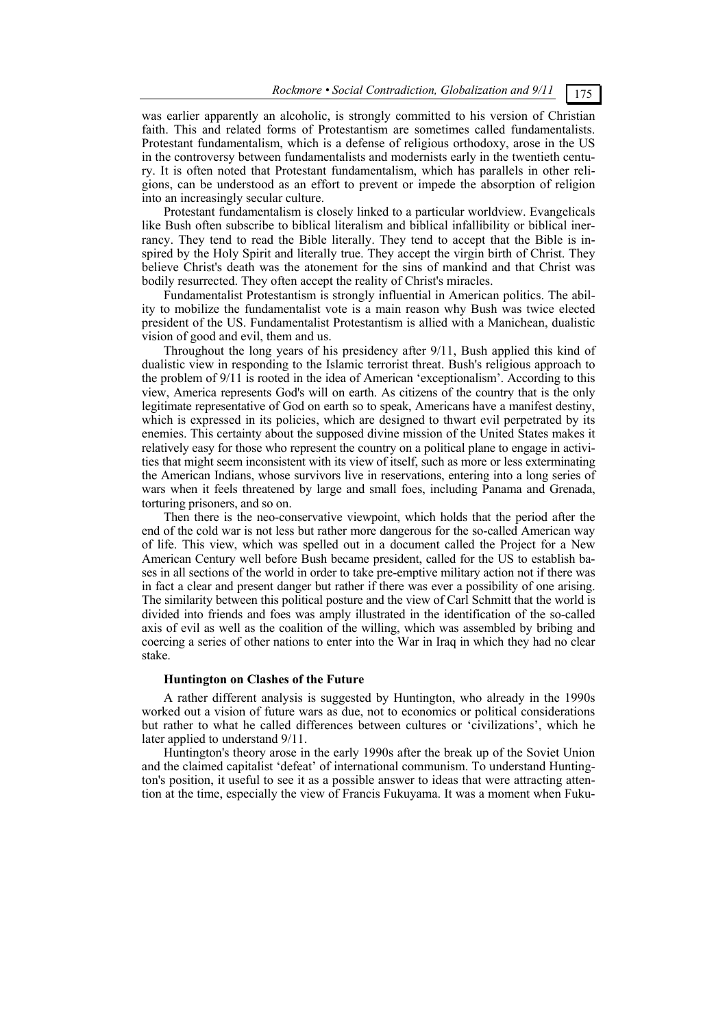*Rockmore • Social Contradiction, Globalization and 9/11* 175

was earlier apparently an alcoholic, is strongly committed to his version of Christian faith. This and related forms of Protestantism are sometimes called fundamentalists. Protestant fundamentalism, which is a defense of religious orthodoxy, arose in the US in the controversy between fundamentalists and modernists early in the twentieth century. It is often noted that Protestant fundamentalism, which has parallels in other religions, can be understood as an effort to prevent or impede the absorption of religion into an increasingly secular culture.

Protestant fundamentalism is closely linked to a particular worldview. Evangelicals like Bush often subscribe to biblical literalism and biblical infallibility or biblical inerrancy. They tend to read the Bible literally. They tend to accept that the Bible is inspired by the Holy Spirit and literally true. They accept the virgin birth of Christ. They believe Christ's death was the atonement for the sins of mankind and that Christ was bodily resurrected. They often accept the reality of Christ's miracles.

Fundamentalist Protestantism is strongly influential in American politics. The ability to mobilize the fundamentalist vote is a main reason why Bush was twice elected president of the US. Fundamentalist Protestantism is allied with a Manichean, dualistic vision of good and evil, them and us.

Throughout the long years of his presidency after 9/11, Bush applied this kind of dualistic view in responding to the Islamic terrorist threat. Bush's religious approach to the problem of 9/11 is rooted in the idea of American 'exceptionalism'. According to this view, America represents God's will on earth. As citizens of the country that is the only legitimate representative of God on earth so to speak, Americans have a manifest destiny, which is expressed in its policies, which are designed to thwart evil perpetrated by its enemies. This certainty about the supposed divine mission of the United States makes it relatively easy for those who represent the country on a political plane to engage in activities that might seem inconsistent with its view of itself, such as more or less exterminating the American Indians, whose survivors live in reservations, entering into a long series of wars when it feels threatened by large and small foes, including Panama and Grenada, torturing prisoners, and so on.

Then there is the neo-conservative viewpoint, which holds that the period after the end of the cold war is not less but rather more dangerous for the so-called American way of life. This view, which was spelled out in a document called the Project for a New American Century well before Bush became president, called for the US to establish bases in all sections of the world in order to take pre-emptive military action not if there was in fact a clear and present danger but rather if there was ever a possibility of one arising. The similarity between this political posture and the view of Carl Schmitt that the world is divided into friends and foes was amply illustrated in the identification of the so-called axis of evil as well as the coalition of the willing, which was assembled by bribing and coercing a series of other nations to enter into the War in Iraq in which they had no clear stake.

# **Huntington on Clashes of the Future**

A rather different analysis is suggested by Huntington, who already in the 1990s worked out a vision of future wars as due, not to economics or political considerations but rather to what he called differences between cultures or 'civilizations', which he later applied to understand 9/11.

Huntington's theory arose in the early 1990s after the break up of the Soviet Union and the claimed capitalist 'defeat' of international communism. To understand Huntington's position, it useful to see it as a possible answer to ideas that were attracting attention at the time, especially the view of Francis Fukuyama. It was a moment when Fuku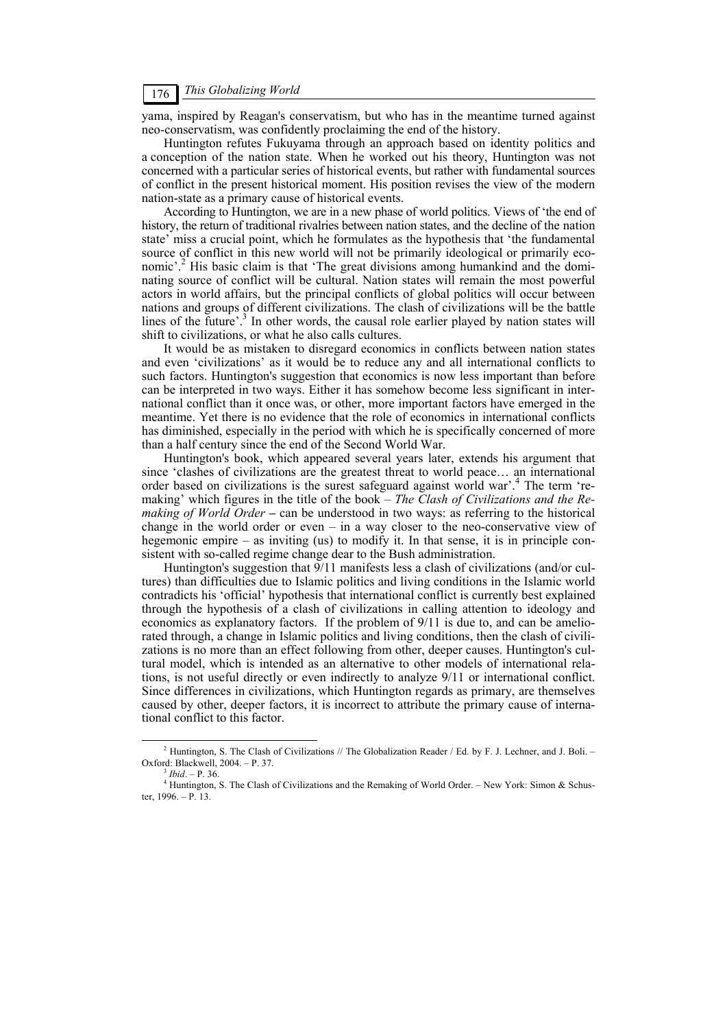yama, inspired by Reagan's conservatism, but who has in the meantime turned against neo-conservatism, was confidently proclaiming the end of the history.

Huntington refutes Fukuyama through an approach based on identity politics and a conception of the nation state. When he worked out his theory, Huntington was not concerned with a particular series of historical events, but rather with fundamental sources of conflict in the present historical moment. His position revises the view of the modern nation-state as a primary cause of historical events.

According to Huntington, we are in a new phase of world politics. Views of 'the end of history, the return of traditional rivalries between nation states, and the decline of the nation state' miss a crucial point, which he formulates as the hypothesis that 'the fundamental source of conflict in this new world will not be primarily ideological or primarily economic'.<sup>2</sup> His basic claim is that 'The great divisions among humankind and the dominating source of conflict will be cultural. Nation states will remain the most powerful actors in world affairs, but the principal conflicts of global politics will occur between nations and groups of different civilizations. The clash of civilizations will be the battle lines of the future'.<sup>3</sup> In other words, the causal role earlier played by nation states will shift to civilizations, or what he also calls cultures.

It would be as mistaken to disregard economics in conflicts between nation states and even 'civilizations' as it would be to reduce any and all international conflicts to such factors. Huntington's suggestion that economics is now less important than before can be interpreted in two ways. Either it has somehow become less significant in international conflict than it once was, or other, more important factors have emerged in the meantime. Yet there is no evidence that the role of economics in international conflicts has diminished, especially in the period with which he is specifically concerned of more than a half century since the end of the Second World War.

Huntington's book, which appeared several years later, extends his argument that since 'clashes of civilizations are the greatest threat to world peace… an international order based on civilizations is the surest safeguard against world war'.<sup>4</sup> The term 'remaking' which figures in the title of the book – *The Clash of Civilizations and the Remaking of World Order* **–** can be understood in two ways: as referring to the historical change in the world order or even – in a way closer to the neo-conservative view of hegemonic empire – as inviting (us) to modify it. In that sense, it is in principle consistent with so-called regime change dear to the Bush administration.

Huntington's suggestion that 9/11 manifests less a clash of civilizations (and/or cultures) than difficulties due to Islamic politics and living conditions in the Islamic world contradicts his 'official' hypothesis that international conflict is currently best explained through the hypothesis of a clash of civilizations in calling attention to ideology and economics as explanatory factors. If the problem of 9/11 is due to, and can be ameliorated through, a change in Islamic politics and living conditions, then the clash of civilizations is no more than an effect following from other, deeper causes. Huntington's cultural model, which is intended as an alternative to other models of international relations, is not useful directly or even indirectly to analyze 9/11 or international conflict. Since differences in civilizations, which Huntington regards as primary, are themselves caused by other, deeper factors, it is incorrect to attribute the primary cause of international conflict to this factor.

 $\frac{1}{2}$  $^2$  Huntington, S. The Clash of Civilizations // The Globalization Reader / Ed. by F. J. Lechner, and J. Boli. – Oxford: Blackwell, 2004. – P. 37.<br><sup>3</sup> *Ibid.* – P. 36.

<sup>&</sup>lt;sup>4</sup> Huntington, S. The Clash of Civilizations and the Remaking of World Order. – New York: Simon & Schuster, 1996. – P. 13.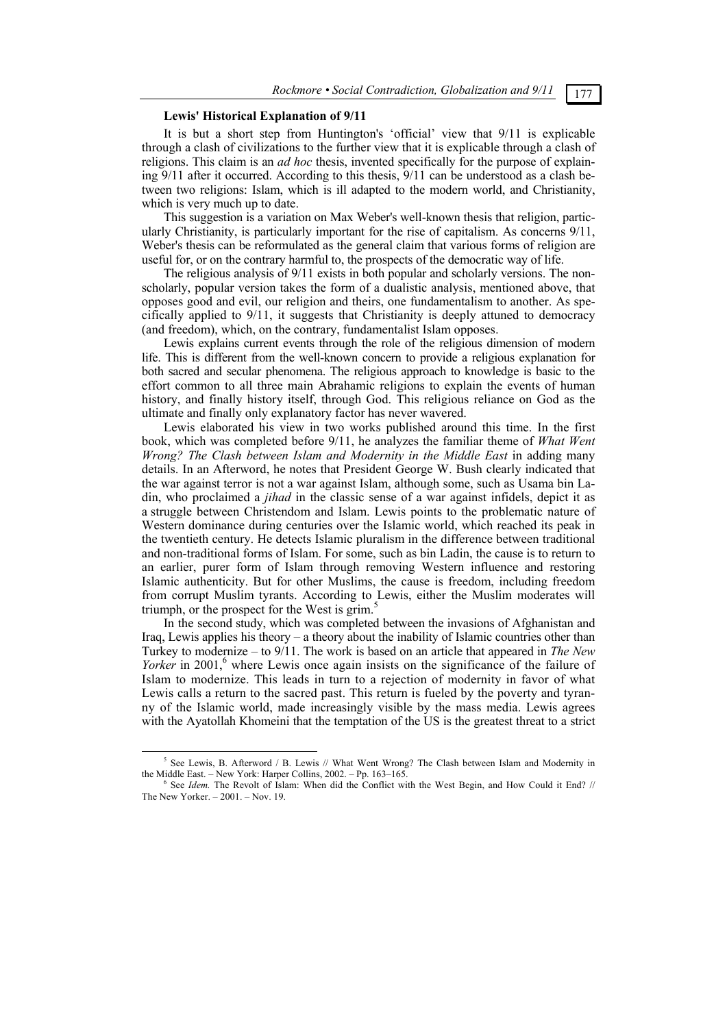#### **Lewis' Historical Explanation of 9/11**

It is but a short step from Huntington's 'official' view that 9/11 is explicable through a clash of civilizations to the further view that it is explicable through a clash of religions. This claim is an *ad hoc* thesis, invented specifically for the purpose of explaining 9/11 after it occurred. According to this thesis, 9/11 can be understood as a clash between two religions: Islam, which is ill adapted to the modern world, and Christianity, which is very much up to date.

This suggestion is a variation on Max Weber's well-known thesis that religion, particularly Christianity, is particularly important for the rise of capitalism. As concerns 9/11, Weber's thesis can be reformulated as the general claim that various forms of religion are useful for, or on the contrary harmful to, the prospects of the democratic way of life.

The religious analysis of 9/11 exists in both popular and scholarly versions. The nonscholarly, popular version takes the form of a dualistic analysis, mentioned above, that opposes good and evil, our religion and theirs, one fundamentalism to another. As specifically applied to 9/11, it suggests that Christianity is deeply attuned to democracy (and freedom), which, on the contrary, fundamentalist Islam opposes.

Lewis explains current events through the role of the religious dimension of modern life. This is different from the well-known concern to provide a religious explanation for both sacred and secular phenomena. The religious approach to knowledge is basic to the effort common to all three main Abrahamic religions to explain the events of human history, and finally history itself, through God. This religious reliance on God as the ultimate and finally only explanatory factor has never wavered.

Lewis elaborated his view in two works published around this time. In the first book, which was completed before 9/11, he analyzes the familiar theme of *What Went Wrong? The Clash between Islam and Modernity in the Middle East* in adding many details. In an Afterword, he notes that President George W. Bush clearly indicated that the war against terror is not a war against Islam, although some, such as Usama bin Ladin, who proclaimed a *jihad* in the classic sense of a war against infidels, depict it as a struggle between Christendom and Islam. Lewis points to the problematic nature of Western dominance during centuries over the Islamic world, which reached its peak in the twentieth century. He detects Islamic pluralism in the difference between traditional and non-traditional forms of Islam. For some, such as bin Ladin, the cause is to return to an earlier, purer form of Islam through removing Western influence and restoring Islamic authenticity. But for other Muslims, the cause is freedom, including freedom from corrupt Muslim tyrants. According to Lewis, either the Muslim moderates will triumph, or the prospect for the West is grim.<sup>5</sup>

In the second study, which was completed between the invasions of Afghanistan and Iraq, Lewis applies his theory – a theory about the inability of Islamic countries other than Turkey to modernize – to 9/11. The work is based on an article that appeared in *The New Yorker* in 2001,<sup>6</sup> where Lewis once again insists on the significance of the failure of Islam to modernize. This leads in turn to a rejection of modernity in favor of what Lewis calls a return to the sacred past. This return is fueled by the poverty and tyranny of the Islamic world, made increasingly visible by the mass media. Lewis agrees with the Ayatollah Khomeini that the temptation of the US is the greatest threat to a strict

 $\frac{1}{5}$  $<sup>5</sup>$  See Lewis, B. Afterword / B. Lewis // What Went Wrong? The Clash between Islam and Modernity in</sup> the Middle East. – New York: Harper Collins, 2002. – Pp.  $163-165$ .

<sup>&</sup>lt;sup>6</sup> See *Idem*. The Revolt of Islam: When did the Conflict with the West Begin, and How Could it End? // The New Yorker. – 2001. – Nov. 19.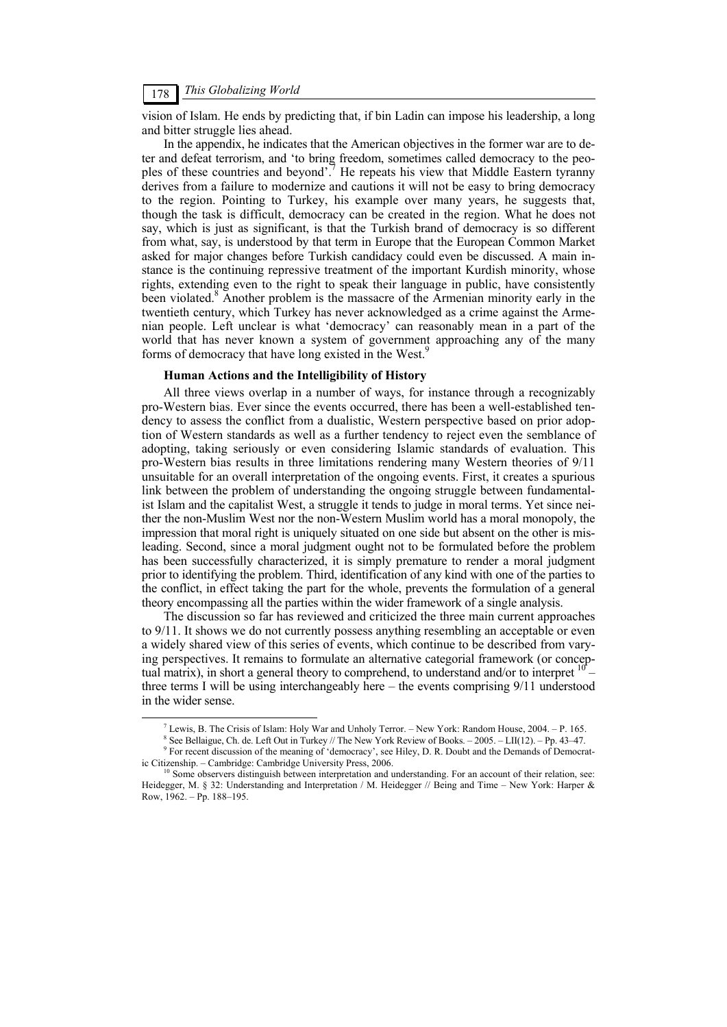vision of Islam. He ends by predicting that, if bin Ladin can impose his leadership, a long and bitter struggle lies ahead.

In the appendix, he indicates that the American objectives in the former war are to deter and defeat terrorism, and 'to bring freedom, sometimes called democracy to the peoples of these countries and beyond<sup> $\frac{7}{7}$ </sup> He repeats his view that Middle Eastern tyranny derives from a failure to modernize and cautions it will not be easy to bring democracy to the region. Pointing to Turkey, his example over many years, he suggests that, though the task is difficult, democracy can be created in the region. What he does not say, which is just as significant, is that the Turkish brand of democracy is so different from what, say, is understood by that term in Europe that the European Common Market asked for major changes before Turkish candidacy could even be discussed. A main instance is the continuing repressive treatment of the important Kurdish minority, whose rights, extending even to the right to speak their language in public, have consistently been violated.<sup>8</sup> Another problem is the massacre of the Armenian minority early in the twentieth century, which Turkey has never acknowledged as a crime against the Armenian people. Left unclear is what 'democracy' can reasonably mean in a part of the world that has never known a system of government approaching any of the many forms of democracy that have long existed in the West.<sup>9</sup>

#### **Human Actions and the Intelligibility of History**

All three views overlap in a number of ways, for instance through a recognizably pro-Western bias. Ever since the events occurred, there has been a well-established tendency to assess the conflict from a dualistic, Western perspective based on prior adoption of Western standards as well as a further tendency to reject even the semblance of adopting, taking seriously or even considering Islamic standards of evaluation. This pro-Western bias results in three limitations rendering many Western theories of 9/11 unsuitable for an overall interpretation of the ongoing events. First, it creates a spurious link between the problem of understanding the ongoing struggle between fundamentalist Islam and the capitalist West, a struggle it tends to judge in moral terms. Yet since neither the non-Muslim West nor the non-Western Muslim world has a moral monopoly, the impression that moral right is uniquely situated on one side but absent on the other is misleading. Second, since a moral judgment ought not to be formulated before the problem has been successfully characterized, it is simply premature to render a moral judgment prior to identifying the problem. Third, identification of any kind with one of the parties to the conflict, in effect taking the part for the whole, prevents the formulation of a general theory encompassing all the parties within the wider framework of a single analysis.

The discussion so far has reviewed and criticized the three main current approaches to 9/11. It shows we do not currently possess anything resembling an acceptable or even a widely shared view of this series of events, which continue to be described from varying perspectives. It remains to formulate an alternative categorial framework (or conceptual matrix), in short a general theory to comprehend, to understand and/or to interpret three terms I will be using interchangeably here – the events comprising 9/11 understood in the wider sense.

 $\frac{1}{7}$ <sup>7</sup> Lewis, B. The Crisis of Islam: Holy War and Unholy Terror. – New York: Random House, 2004. – P. 165.

 $\delta$  See Bellaigue, Ch. de. Left Out in Turkey // The New York Review of Books. – 2005. – LII(12). – Pp. 43–47.

<sup>&</sup>lt;sup>9</sup> For recent discussion of the meaning of 'democracy', see Hiley, D. R. Doubt and the Demands of Democratic Citizenship. – Cambridge: Cambridge University Press, 2006.<br><sup>10</sup> Some observers distinguish between interpretation and understanding. For an account of their relation, see:

Heidegger, M. § 32: Understanding and Interpretation / M. Heidegger // Being and Time – New York: Harper & Row, 1962. – Pp. 188–195.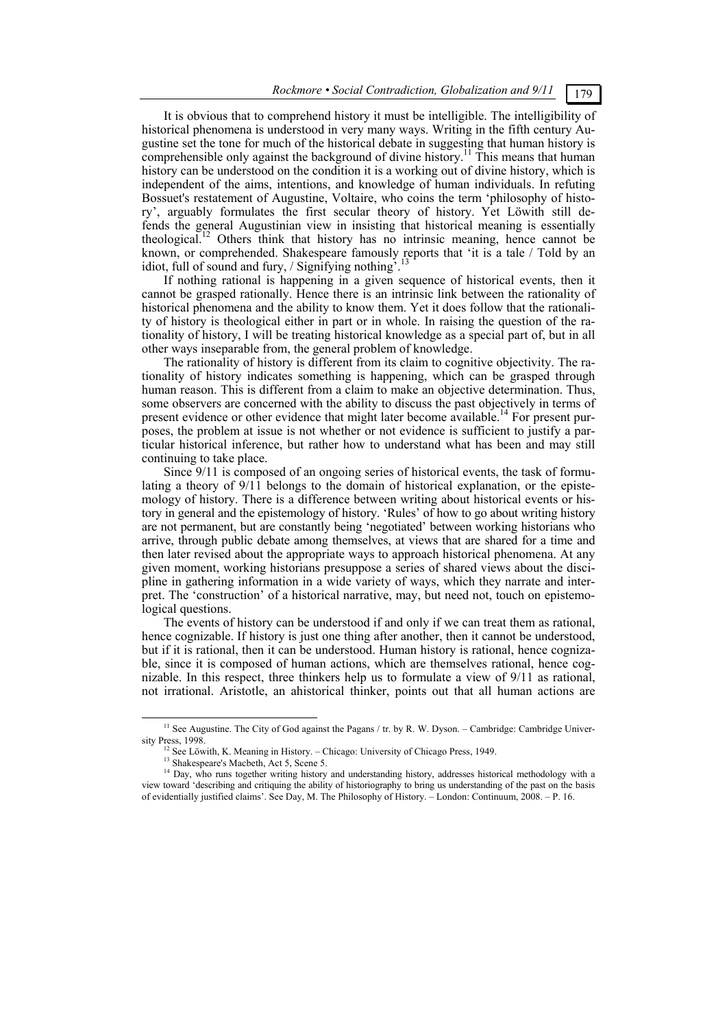It is obvious that to comprehend history it must be intelligible. The intelligibility of historical phenomena is understood in very many ways. Writing in the fifth century Augustine set the tone for much of the historical debate in suggesting that human history is comprehensible only against the background of divine history.<sup>11</sup> This means that human history can be understood on the condition it is a working out of divine history, which is independent of the aims, intentions, and knowledge of human individuals. In refuting Bossuet's restatement of Augustine, Voltaire, who coins the term 'philosophy of history', arguably formulates the first secular theory of history. Yet Löwith still defends the general Augustinian view in insisting that historical meaning is essentially theological.12 Others think that history has no intrinsic meaning, hence cannot be known, or comprehended. Shakespeare famously reports that 'it is a tale / Told by an idiot, full of sound and fury,  $\frac{1}{\pi}$  Signifying nothing'.

If nothing rational is happening in a given sequence of historical events, then it cannot be grasped rationally. Hence there is an intrinsic link between the rationality of historical phenomena and the ability to know them. Yet it does follow that the rationality of history is theological either in part or in whole. In raising the question of the rationality of history, I will be treating historical knowledge as a special part of, but in all other ways inseparable from, the general problem of knowledge.

The rationality of history is different from its claim to cognitive objectivity. The rationality of history indicates something is happening, which can be grasped through human reason. This is different from a claim to make an objective determination. Thus, some observers are concerned with the ability to discuss the past objectively in terms of present evidence or other evidence that might later become available.<sup>14</sup> For present purposes, the problem at issue is not whether or not evidence is sufficient to justify a particular historical inference, but rather how to understand what has been and may still continuing to take place.

Since 9/11 is composed of an ongoing series of historical events, the task of formulating a theory of 9/11 belongs to the domain of historical explanation, or the epistemology of history. There is a difference between writing about historical events or history in general and the epistemology of history. 'Rules' of how to go about writing history are not permanent, but are constantly being 'negotiated' between working historians who arrive, through public debate among themselves, at views that are shared for a time and then later revised about the appropriate ways to approach historical phenomena. At any given moment, working historians presuppose a series of shared views about the discipline in gathering information in a wide variety of ways, which they narrate and interpret. The 'construction' of a historical narrative, may, but need not, touch on epistemological questions.

The events of history can be understood if and only if we can treat them as rational, hence cognizable. If history is just one thing after another, then it cannot be understood, but if it is rational, then it can be understood. Human history is rational, hence cognizable, since it is composed of human actions, which are themselves rational, hence cognizable. In this respect, three thinkers help us to formulate a view of 9/11 as rational, not irrational. Aristotle, an ahistorical thinker, points out that all human actions are

<sup>&</sup>lt;sup>11</sup> See Augustine. The City of God against the Pagans / tr. by R. W. Dyson. – Cambridge: Cambridge Univer-<br>sity Press, 1998.

<sup>&</sup>lt;sup>12</sup> See Löwith, K. Meaning in History. – Chicago: University of Chicago Press, 1949. <sup>13</sup> Shakespeare's Macbeth, Act 5, Scene 5.

<sup>&</sup>lt;sup>14</sup> Day, who runs together writing history and understanding history, addresses historical methodology with a view toward 'describing and critiquing the ability of historiography to bring us understanding of the past on the basis of evidentially justified claims'. See Day, M. The Philosophy of History. – London: Continuum, 2008. – P. 16.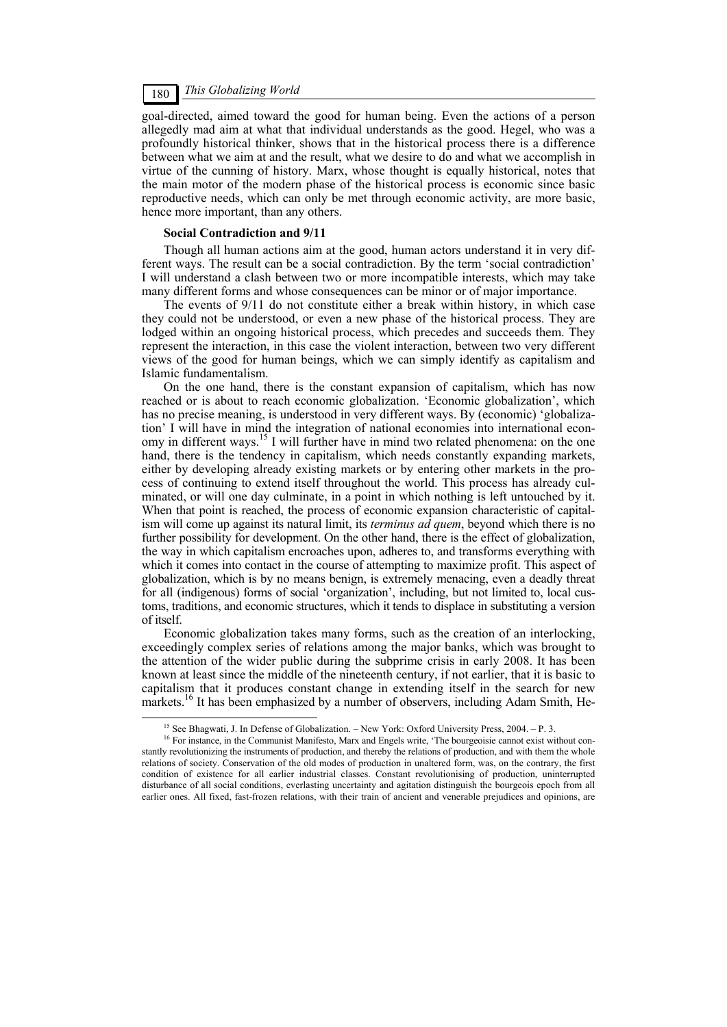goal-directed, aimed toward the good for human being. Even the actions of a person allegedly mad aim at what that individual understands as the good. Hegel, who was a profoundly historical thinker, shows that in the historical process there is a difference between what we aim at and the result, what we desire to do and what we accomplish in virtue of the cunning of history. Marx, whose thought is equally historical, notes that the main motor of the modern phase of the historical process is economic since basic reproductive needs, which can only be met through economic activity, are more basic, hence more important, than any others.

### **Social Contradiction and 9/11**

Though all human actions aim at the good, human actors understand it in very different ways. The result can be a social contradiction. By the term 'social contradiction' I will understand a clash between two or more incompatible interests, which may take many different forms and whose consequences can be minor or of major importance.

The events of 9/11 do not constitute either a break within history, in which case they could not be understood, or even a new phase of the historical process. They are lodged within an ongoing historical process, which precedes and succeeds them. They represent the interaction, in this case the violent interaction, between two very different views of the good for human beings, which we can simply identify as capitalism and Islamic fundamentalism.

On the one hand, there is the constant expansion of capitalism, which has now reached or is about to reach economic globalization. 'Economic globalization', which has no precise meaning, is understood in very different ways. By (economic) 'globalization' I will have in mind the integration of national economies into international economy in different ways.15 I will further have in mind two related phenomena: on the one hand, there is the tendency in capitalism, which needs constantly expanding markets, either by developing already existing markets or by entering other markets in the process of continuing to extend itself throughout the world. This process has already culminated, or will one day culminate, in a point in which nothing is left untouched by it. When that point is reached, the process of economic expansion characteristic of capitalism will come up against its natural limit, its *terminus ad quem*, beyond which there is no further possibility for development. On the other hand, there is the effect of globalization, the way in which capitalism encroaches upon, adheres to, and transforms everything with which it comes into contact in the course of attempting to maximize profit. This aspect of globalization, which is by no means benign, is extremely menacing, even a deadly threat for all (indigenous) forms of social 'organization', including, but not limited to, local customs, traditions, and economic structures, which it tends to displace in substituting a version of itself.

Economic globalization takes many forms, such as the creation of an interlocking, exceedingly complex series of relations among the major banks, which was brought to the attention of the wider public during the subprime crisis in early 2008. It has been known at least since the middle of the nineteenth century, if not earlier, that it is basic to capitalism that it produces constant change in extending itself in the search for new markets.16 It has been emphasized by a number of observers, including Adam Smith, He-

<sup>&</sup>lt;sup>15</sup> See Bhagwati, J. In Defense of Globalization. – New York: Oxford University Press, 2004. – P. 3. <sup>16</sup> For instance, in the Communist Manifesto, Marx and Engels write, 'The bourgeoisie cannot exist without constantly revolutionizing the instruments of production, and thereby the relations of production, and with them the whole relations of society. Conservation of the old modes of production in unaltered form, was, on the contrary, the first condition of existence for all earlier industrial classes. Constant revolutionising of production, uninterrupted disturbance of all social conditions, everlasting uncertainty and agitation distinguish the bourgeois epoch from all earlier ones. All fixed, fast-frozen relations, with their train of ancient and venerable prejudices and opinions, are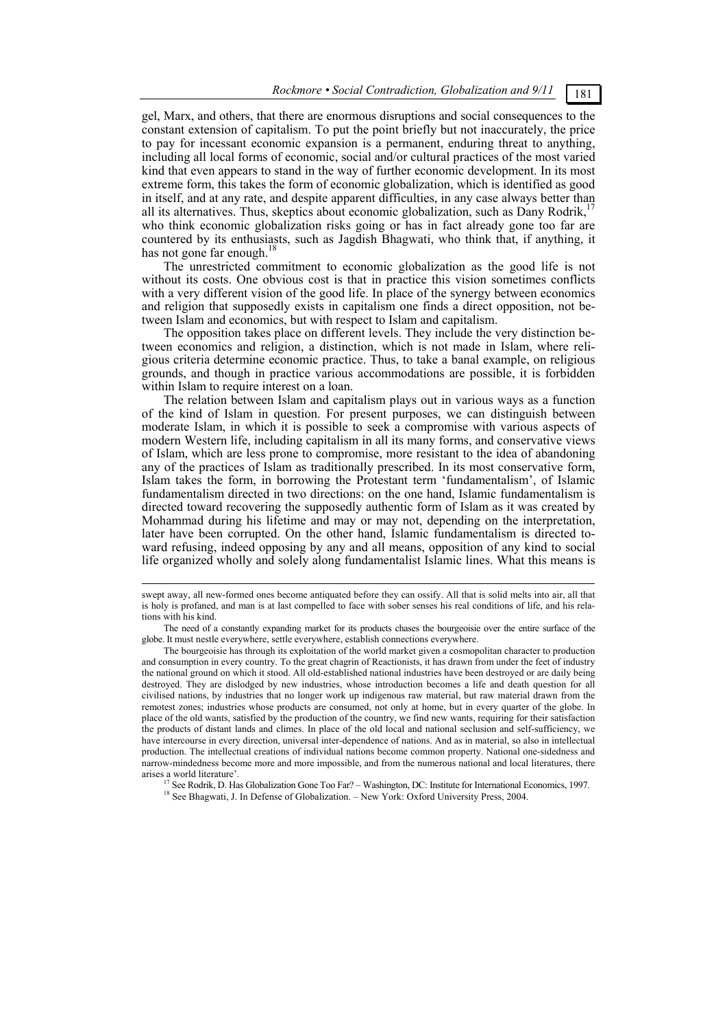*Rockmore • Social Contradiction, Globalization and 9/11* 181

gel, Marx, and others, that there are enormous disruptions and social consequences to the constant extension of capitalism. To put the point briefly but not inaccurately, the price to pay for incessant economic expansion is a permanent, enduring threat to anything, including all local forms of economic, social and/or cultural practices of the most varied kind that even appears to stand in the way of further economic development. In its most extreme form, this takes the form of economic globalization, which is identified as good in itself, and at any rate, and despite apparent difficulties, in any case always better than all its alternatives. Thus, skeptics about economic globalization, such as Dany Rodrik,<sup>17</sup> who think economic globalization risks going or has in fact already gone too far are countered by its enthusiasts, such as Jagdish Bhagwati, who think that, if anything, it has not gone far enough.<sup>18</sup>

The unrestricted commitment to economic globalization as the good life is not without its costs. One obvious cost is that in practice this vision sometimes conflicts with a very different vision of the good life. In place of the synergy between economics and religion that supposedly exists in capitalism one finds a direct opposition, not between Islam and economics, but with respect to Islam and capitalism.

The opposition takes place on different levels. They include the very distinction between economics and religion, a distinction, which is not made in Islam, where religious criteria determine economic practice. Thus, to take a banal example, on religious grounds, and though in practice various accommodations are possible, it is forbidden within Islam to require interest on a loan.

The relation between Islam and capitalism plays out in various ways as a function of the kind of Islam in question. For present purposes, we can distinguish between moderate Islam, in which it is possible to seek a compromise with various aspects of modern Western life, including capitalism in all its many forms, and conservative views of Islam, which are less prone to compromise, more resistant to the idea of abandoning any of the practices of Islam as traditionally prescribed. In its most conservative form, Islam takes the form, in borrowing the Protestant term 'fundamentalism', of Islamic fundamentalism directed in two directions: on the one hand, Islamic fundamentalism is directed toward recovering the supposedly authentic form of Islam as it was created by Mohammad during his lifetime and may or may not, depending on the interpretation, later have been corrupted. On the other hand, Islamic fundamentalism is directed toward refusing, indeed opposing by any and all means, opposition of any kind to social life organized wholly and solely along fundamentalist Islamic lines. What this means is

<sup>18</sup> See Bhagwati, J. In Defense of Globalization. – New York: Oxford University Press, 2004.

swept away, all new-formed ones become antiquated before they can ossify. All that is solid melts into air, all that is holy is profaned, and man is at last compelled to face with sober senses his real conditions of life, and his relations with his kind.

The need of a constantly expanding market for its products chases the bourgeoisie over the entire surface of the globe. It must nestle everywhere, settle everywhere, establish connections everywhere.

The bourgeoisie has through its exploitation of the world market given a cosmopolitan character to production and consumption in every country. To the great chagrin of Reactionists, it has drawn from under the feet of industry the national ground on which it stood. All old-established national industries have been destroyed or are daily being destroyed. They are dislodged by new industries, whose introduction becomes a life and death question for all civilised nations, by industries that no longer work up indigenous raw material, but raw material drawn from the remotest zones; industries whose products are consumed, not only at home, but in every quarter of the globe. In place of the old wants, satisfied by the production of the country, we find new wants, requiring for their satisfaction the products of distant lands and climes. In place of the old local and national seclusion and self-sufficiency, we have intercourse in every direction, universal inter-dependence of nations. And as in material, so also in intellectual production. The intellectual creations of individual nations become common property. National one-sidedness and narrow-mindedness become more and more impossible, and from the numerous national and local literatures, there arises a world literature'. 17 See Rodrik, D. Has Globalization Gone Too Far? – Washington, DC: Institute for International Economics, 1997.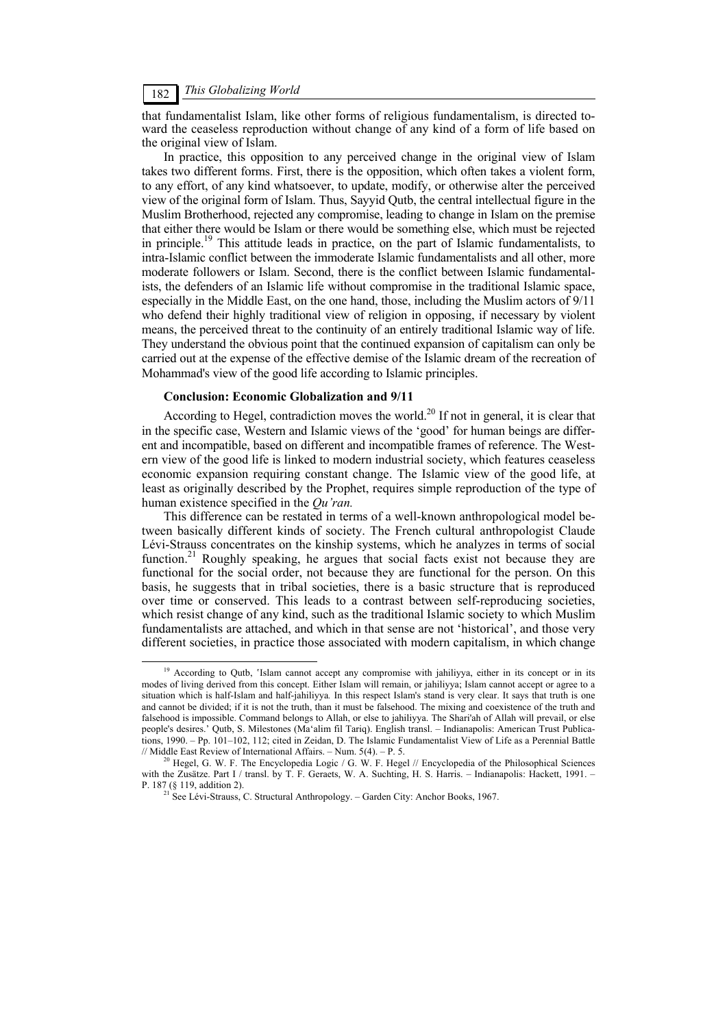that fundamentalist Islam, like other forms of religious fundamentalism, is directed toward the ceaseless reproduction without change of any kind of a form of life based on the original view of Islam.

In practice, this opposition to any perceived change in the original view of Islam takes two different forms. First, there is the opposition, which often takes a violent form, to any effort, of any kind whatsoever, to update, modify, or otherwise alter the perceived view of the original form of Islam. Thus, Sayyid Qutb, the central intellectual figure in the Muslim Brotherhood, rejected any compromise, leading to change in Islam on the premise that either there would be Islam or there would be something else, which must be rejected in principle.<sup>19</sup> This attitude leads in practice, on the part of Islamic fundamentalists, to intra-Islamic conflict between the immoderate Islamic fundamentalists and all other, more moderate followers or Islam. Second, there is the conflict between Islamic fundamentalists, the defenders of an Islamic life without compromise in the traditional Islamic space, especially in the Middle East, on the one hand, those, including the Muslim actors of 9/11 who defend their highly traditional view of religion in opposing, if necessary by violent means, the perceived threat to the continuity of an entirely traditional Islamic way of life. They understand the obvious point that the continued expansion of capitalism can only be carried out at the expense of the effective demise of the Islamic dream of the recreation of Mohammad's view of the good life according to Islamic principles.

## **Conclusion: Economic Globalization and 9/11**

According to Hegel, contradiction moves the world.<sup>20</sup> If not in general, it is clear that in the specific case, Western and Islamic views of the 'good' for human beings are different and incompatible, based on different and incompatible frames of reference. The Western view of the good life is linked to modern industrial society, which features ceaseless economic expansion requiring constant change. The Islamic view of the good life, at least as originally described by the Prophet, requires simple reproduction of the type of human existence specified in the *Qu'ran.*

This difference can be restated in terms of a well-known anthropological model between basically different kinds of society. The French cultural anthropologist Claude Lévi-Strauss concentrates on the kinship systems, which he analyzes in terms of social function.<sup>21</sup> Roughly speaking, he argues that social facts exist not because they are functional for the social order, not because they are functional for the person. On this basis, he suggests that in tribal societies, there is a basic structure that is reproduced over time or conserved. This leads to a contrast between self-reproducing societies, which resist change of any kind, such as the traditional Islamic society to which Muslim fundamentalists are attached, and which in that sense are not 'historical', and those very different societies, in practice those associated with modern capitalism, in which change

<sup>&</sup>lt;sup>19</sup> According to Qutb, 'Islam cannot accept any compromise with jahiliyya, either in its concept or in its modes of living derived from this concept. Either Islam will remain, or jahiliyya; Islam cannot accept or agree to a situation which is half-Islam and half-jahiliyya*.* In this respect Islam's stand is very clear. It says that truth is one and cannot be divided; if it is not the truth, than it must be falsehood. The mixing and coexistence of the truth and falsehood is impossible. Command belongs to Allah, or else to jahiliyya. The Shari'ah of Allah will prevail, or else people's desires.' Qutb, S. Milestones (Ma'alim fil Tariq). English transl. – Indianapolis: American Trust Publications, 1990. – Pp. 101–102, 112; cited in Zeidan, D. The Islamic Fundamentalist View of Life as a Perennial Battle

<sup>//</sup> Middle East Review of International Affairs. – Num. 5(4). – P. 5.<br><sup>20</sup> Hegel, G. W. F. The Encyclopedia Logic / G. W. F. Hegel // Encyclopedia of the Philosophical Sciences with the Zusätze. Part I / transl. by T. F. Geraets, W. A. Suchting, H. S. Harris. – Indianapolis: Hackett, 1991. – P. 187 (8 119. addition 2).

P. 187 (§ 119, addition 2). 21 See Lévi-Strauss, C. Structural Anthropology. – Garden City: Anchor Books, 1967.